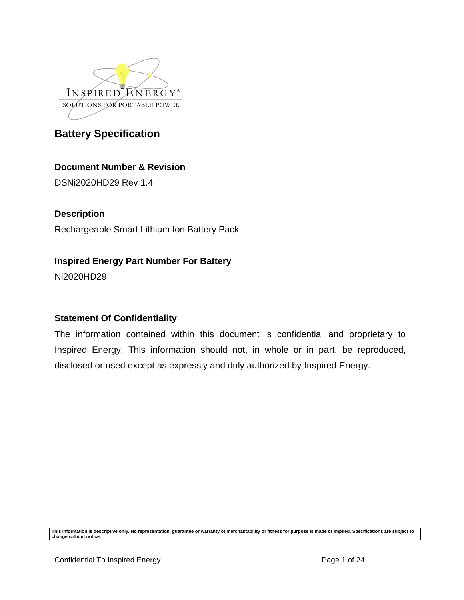

# **Document Number & Revision**

DSNi2020HD29 Rev 1.4

## **Description**

Rechargeable Smart Lithium Ion Battery Pack

# **Inspired Energy Part Number For Battery**

Ni2020HD29

## **Statement Of Confidentiality**

The information contained within this document is confidential and proprietary to Inspired Energy. This information should not, in whole or in part, be reproduced, disclosed or used except as expressly and duly authorized by Inspired Energy.

**This information is descriptive only. No representation, guarantee or warranty of merchantability or fitness for purpose is made or implied. Specifications are subject to change without notice.**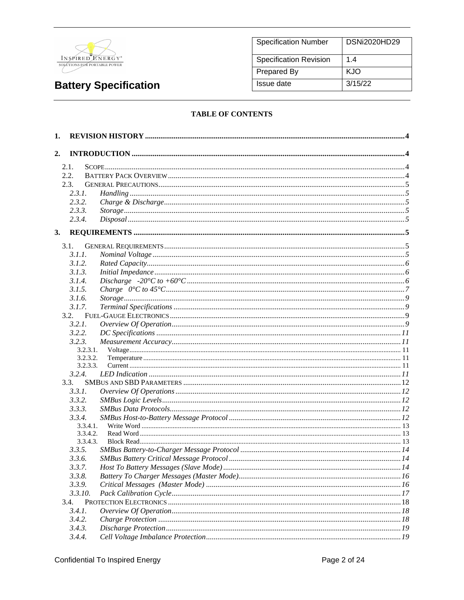

| <b>Specification Number</b>   | DSNi2020HD29 |
|-------------------------------|--------------|
| <b>Specification Revision</b> | 1.4          |
| Prepared By                   | KJO          |
| Issue date                    | 3/15/22      |

#### **TABLE OF CONTENTS**

| 1. |                      |  |
|----|----------------------|--|
| 2. |                      |  |
|    | 2.1.                 |  |
|    | 2.2.                 |  |
|    | 2.3.                 |  |
|    | 2.3.1.               |  |
|    | 2.3.2.               |  |
|    | 2.3.3.               |  |
|    | 2.3.4.               |  |
|    |                      |  |
| 3. |                      |  |
|    | 3.1.                 |  |
|    | 3.1.1.               |  |
|    | 3.1.2.               |  |
|    | 3.1.3.               |  |
|    | 3.1.4.               |  |
|    | 3.1.5.               |  |
|    | 3.1.6.               |  |
|    | 3.1.7.               |  |
|    | 3.2.                 |  |
|    | 3.2.1.               |  |
|    | 3.2.2.               |  |
|    | 3.2.3.               |  |
|    | 3.2.3.1.             |  |
|    | 3.2.3.2.             |  |
|    | 3.2.3.3.             |  |
|    | 3.2.4.               |  |
|    | 3.3.                 |  |
|    | 3.3.1.               |  |
|    | 3.3.2.               |  |
|    | 3.3.3.               |  |
|    | 3.3.4.               |  |
|    | 3.3.4.1.             |  |
|    | 3.3.4.2.<br>3.3.4.3. |  |
|    | 3.3.5.               |  |
|    | 3.3.6.               |  |
|    | 3.3.7.               |  |
|    |                      |  |
|    | 3.3.8.               |  |
|    | 3.3.9.               |  |
|    | 3.3.10.              |  |
|    | 3.4.                 |  |
|    | 3.4.1.               |  |
|    | 3.4.2.               |  |
|    | 3.4.3.               |  |
|    | 3.4.4.               |  |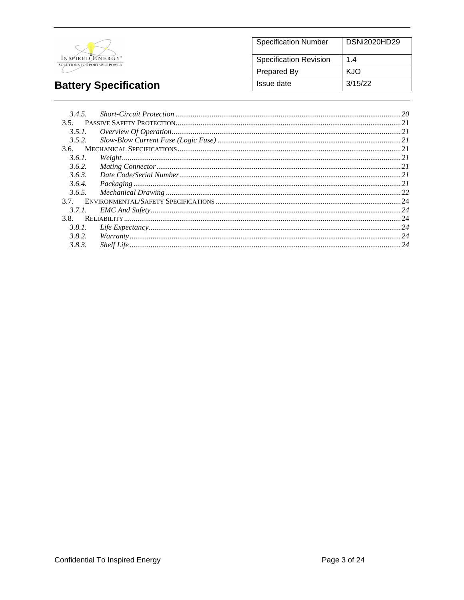

#### **Specification Number Specification Revision**  $1.4$ KJO Prepared By Issue date  $3/15/22$

**DSNi2020HD29** 

# **Battery Specification**

| 3.4.5. |                                                                                                                                                                                                                                                                                                                                                            |  |
|--------|------------------------------------------------------------------------------------------------------------------------------------------------------------------------------------------------------------------------------------------------------------------------------------------------------------------------------------------------------------|--|
| 3.5.   |                                                                                                                                                                                                                                                                                                                                                            |  |
| 3.5.1. | $\emph{ Overview Of Operation} \label{prop:1} \parbox{0.5in} \parbox{0.5in} \emph{1.5in} \emph{1.5in} \emph{1.5in} \emph{2.5in} \emph{2.5in} \emph{3.5in} \emph{3.5in} \emph{4.5in} \emph{4.5in} \emph{5.5in} \emph{5.5in} \emph{6.5in} \emph{6.5in} \emph{7.5in} \emph{7.5in} \emph{8.5in} \emph{8.5in} \emph{9.5in} \emph{1.5in} \emph{1.5in} \emph{1.5$ |  |
| 3.5.2. |                                                                                                                                                                                                                                                                                                                                                            |  |
| 3.6.   |                                                                                                                                                                                                                                                                                                                                                            |  |
| 3.6.1. |                                                                                                                                                                                                                                                                                                                                                            |  |
| 3.6.2. |                                                                                                                                                                                                                                                                                                                                                            |  |
| 3.6.3. |                                                                                                                                                                                                                                                                                                                                                            |  |
| 3.6.4. |                                                                                                                                                                                                                                                                                                                                                            |  |
| 3.6.5. |                                                                                                                                                                                                                                                                                                                                                            |  |
| 37     |                                                                                                                                                                                                                                                                                                                                                            |  |
| 3.7.1. |                                                                                                                                                                                                                                                                                                                                                            |  |
| 3.8.   |                                                                                                                                                                                                                                                                                                                                                            |  |
| 3.8.1. |                                                                                                                                                                                                                                                                                                                                                            |  |
| 3.8.2. |                                                                                                                                                                                                                                                                                                                                                            |  |
| 3.8.3. |                                                                                                                                                                                                                                                                                                                                                            |  |
|        |                                                                                                                                                                                                                                                                                                                                                            |  |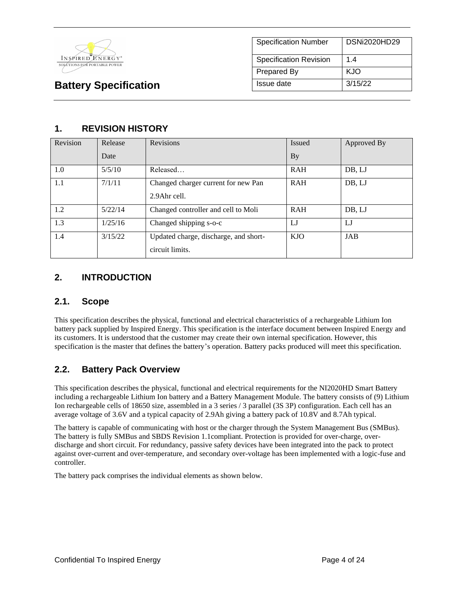

| <b>Specification Number</b>   | DSNi2020HD29 |
|-------------------------------|--------------|
| <b>Specification Revision</b> | 14           |
| Prepared By                   | KJO          |
| Issue date                    | 3/15/22      |

# **1. REVISION HISTORY**

| Revision | Release | Revisions                             | <b>Issued</b> | Approved By |
|----------|---------|---------------------------------------|---------------|-------------|
|          | Date    |                                       | <b>By</b>     |             |
| 1.0      | 5/5/10  | Released                              | <b>RAH</b>    | DB, LJ      |
| 1.1      | 7/1/11  | Changed charger current for new Pan   | <b>RAH</b>    | DB, LJ      |
|          |         | 2.9Ahr cell.                          |               |             |
| 1.2      | 5/22/14 | Changed controller and cell to Moli   | <b>RAH</b>    | DB, LJ      |
| 1.3      | 1/25/16 | Changed shipping s-o-c                | LJ            | LJ          |
| 1.4      | 3/15/22 | Updated charge, discharge, and short- | KJO           | JAB         |
|          |         | circuit limits.                       |               |             |

# **2. INTRODUCTION**

### **2.1. Scope**

This specification describes the physical, functional and electrical characteristics of a rechargeable Lithium Ion battery pack supplied by Inspired Energy. This specification is the interface document between Inspired Energy and its customers. It is understood that the customer may create their own internal specification. However, this specification is the master that defines the battery's operation. Battery packs produced will meet this specification.

## **2.2. Battery Pack Overview**

This specification describes the physical, functional and electrical requirements for the NI2020HD Smart Battery including a rechargeable Lithium Ion battery and a Battery Management Module. The battery consists of (9) Lithium Ion rechargeable cells of 18650 size, assembled in a 3 series / 3 parallel (3S 3P) configuration. Each cell has an average voltage of 3.6V and a typical capacity of 2.9Ah giving a battery pack of 10.8V and 8.7Ah typical.

The battery is capable of communicating with host or the charger through the System Management Bus (SMBus). The battery is fully SMBus and SBDS Revision 1.1compliant. Protection is provided for over-charge, overdischarge and short circuit. For redundancy, passive safety devices have been integrated into the pack to protect against over-current and over-temperature, and secondary over-voltage has been implemented with a logic-fuse and controller.

The battery pack comprises the individual elements as shown below.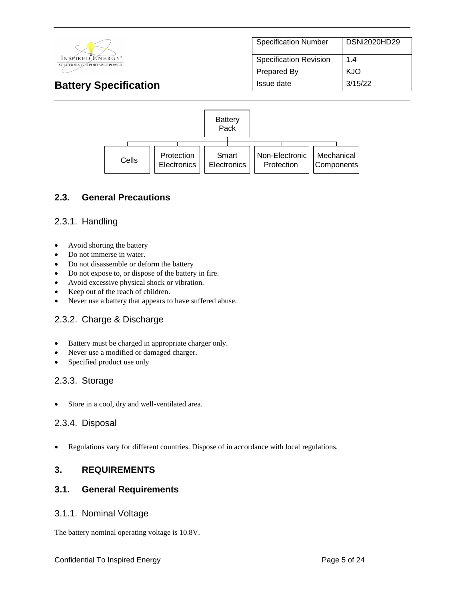

| <b>Specification Number</b>   | <b>DSNi2020HD29</b> |
|-------------------------------|---------------------|
| <b>Specification Revision</b> | 14                  |
| Prepared By                   | KJO                 |
| Issue date                    | 3/15/22             |



### **2.3. General Precautions**

### 2.3.1. Handling

- Avoid shorting the battery
- Do not immerse in water.
- Do not disassemble or deform the battery
- Do not expose to, or dispose of the battery in fire.
- Avoid excessive physical shock or vibration.
- Keep out of the reach of children.
- Never use a battery that appears to have suffered abuse.

#### 2.3.2. Charge & Discharge

- Battery must be charged in appropriate charger only.
- Never use a modified or damaged charger.
- Specified product use only.

#### 2.3.3. Storage

• Store in a cool, dry and well-ventilated area.

#### 2.3.4. Disposal

• Regulations vary for different countries. Dispose of in accordance with local regulations.

#### **3. REQUIREMENTS**

#### **3.1. General Requirements**

#### 3.1.1. Nominal Voltage

The battery nominal operating voltage is 10.8V.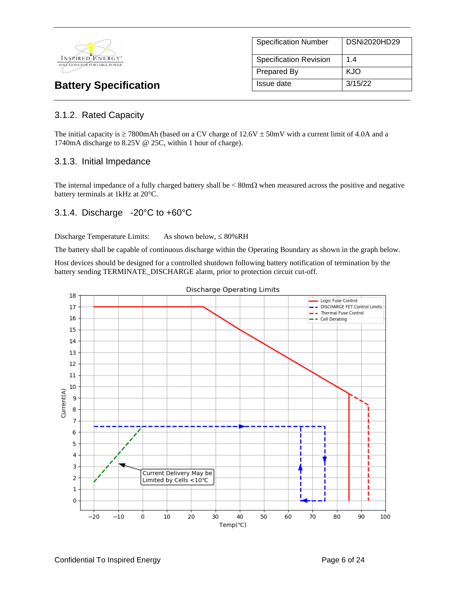

| <b>Specification Number</b>   | DSNi2020HD29 |
|-------------------------------|--------------|
| <b>Specification Revision</b> | 1.4          |
| <b>Prepared By</b>            | KJO          |
| Issue date                    | 3/15/22      |

# 3.1.2. Rated Capacity

The initial capacity is  $\geq$  7800mAh (based on a CV charge of 12.6V  $\pm$  50mV with a current limit of 4.0A and a 1740mA discharge to 8.25V @ 25C, within 1 hour of charge).

#### 3.1.3. Initial Impedance

The internal impedance of a fully charged battery shall be  $< 80 \text{m}\Omega$  when measured across the positive and negative battery terminals at 1kHz at 20°C.

#### 3.1.4. Discharge -20°C to +60°C

Discharge Temperature Limits: As shown below,  $\leq 80\%RH$ 

The battery shall be capable of continuous discharge within the Operating Boundary as shown in the graph below.

Host devices should be designed for a controlled shutdown following battery notification of termination by the battery sending TERMINATE\_DISCHARGE alarm, prior to protection circuit cut-off.

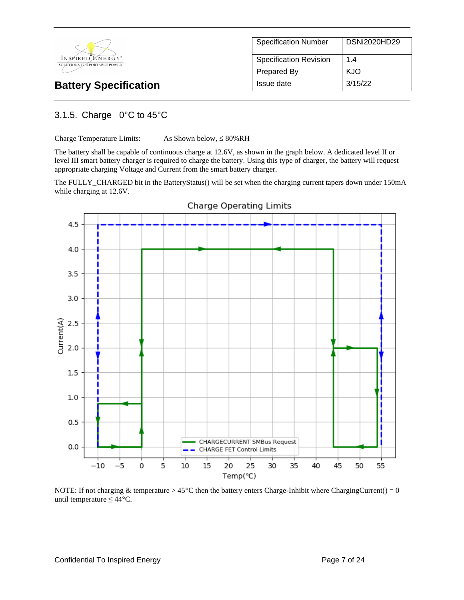

| <b>Specification Number</b>   | DSNi2020HD29 |
|-------------------------------|--------------|
| <b>Specification Revision</b> | 14           |
| Prepared By                   | KJO          |
| Issue date                    | 3/15/22      |

### 3.1.5. Charge 0°C to 45°C

Charge Temperature Limits: As Shown below,  $\leq 80\%RH$ 

The battery shall be capable of continuous charge at 12.6V, as shown in the graph below. A dedicated level II or level III smart battery charger is required to charge the battery. Using this type of charger, the battery will request appropriate charging Voltage and Current from the smart battery charger.

The FULLY\_CHARGED bit in the BatteryStatus() will be set when the charging current tapers down under 150mA while charging at 12.6V.



NOTE: If not charging & temperature >  $45^{\circ}$ C then the battery enters Charge-Inhibit where ChargingCurrent() = 0 until temperature  $\leq 44$ °C.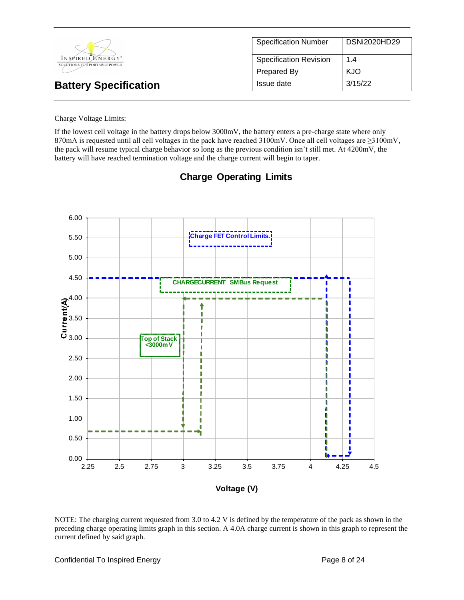|                                                  | <b>Specification Number</b>   | DSNi2020HD29 |
|--------------------------------------------------|-------------------------------|--------------|
| INSPIRED ENERGY*<br>SOLÚTIONS FOR PORTABLE POWER | <b>Specification Revision</b> | 1.4          |
|                                                  | Prepared By                   | <b>KJO</b>   |
| <b>Battery Specification</b>                     | Issue date                    | 3/15/22      |

#### Charge Voltage Limits:

If the lowest cell voltage in the battery drops below 3000mV, the battery enters a pre-charge state where only 870mA is requested until all cell voltages in the pack have reached 3100mV. Once all cell voltages are ≥3100mV, the pack will resume typical charge behavior so long as the previous condition isn't still met. At 4200mV, the battery will have reached termination voltage and the charge current will begin to taper.



# **Charge Operating Limits**

NOTE: The charging current requested from 3.0 to 4.2 V is defined by the temperature of the pack as shown in the preceding charge operating limits graph in this section. A 4.0A charge current is shown in this graph to represent the current defined by said graph.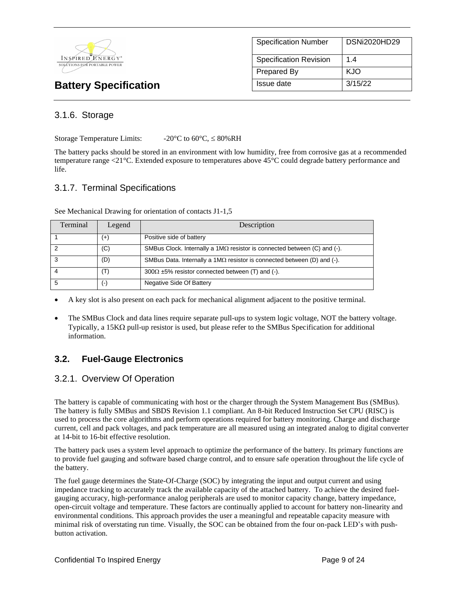

| <b>Specification Number</b>   | <b>DSNi2020HD29</b> |
|-------------------------------|---------------------|
| <b>Specification Revision</b> | 14                  |
| Prepared By                   | KJO                 |
| Issue date                    | 3/15/22             |

### 3.1.6. Storage

Storage Temperature Limits:  $-20^{\circ}$ C to 60°C,  $\leq 80\%$ RH

The battery packs should be stored in an environment with low humidity, free from corrosive gas at a recommended temperature range <21°C. Extended exposure to temperatures above 45°C could degrade battery performance and life.

### 3.1.7. Terminal Specifications

| Terminal | Legend   | Description                                                                      |
|----------|----------|----------------------------------------------------------------------------------|
|          | $^{(+)}$ | Positive side of battery                                                         |
| 2        | (C)      | SMBus Clock. Internally a 1M $\Omega$ resistor is connected between (C) and (-). |
| 3        | (D)      | SMBus Data. Internally a 1M $\Omega$ resistor is connected between (D) and (-).  |
| 4        | (T)      | $300\Omega \pm 5\%$ resistor connected between (T) and (-).                      |
| 5        | (-)      | Negative Side Of Battery                                                         |

See Mechanical Drawing for orientation of contacts J1-1,5

- A key slot is also present on each pack for mechanical alignment adjacent to the positive terminal.
- The SMBus Clock and data lines require separate pull-ups to system logic voltage, NOT the battery voltage. Typically, a 15K $\Omega$  pull-up resistor is used, but please refer to the SMBus Specification for additional information.

## **3.2. Fuel-Gauge Electronics**

#### 3.2.1. Overview Of Operation

The battery is capable of communicating with host or the charger through the System Management Bus (SMBus). The battery is fully SMBus and SBDS Revision 1.1 compliant. An 8-bit Reduced Instruction Set CPU (RISC) is used to process the core algorithms and perform operations required for battery monitoring. Charge and discharge current, cell and pack voltages, and pack temperature are all measured using an integrated analog to digital converter at 14-bit to 16-bit effective resolution.

The battery pack uses a system level approach to optimize the performance of the battery. Its primary functions are to provide fuel gauging and software based charge control, and to ensure safe operation throughout the life cycle of the battery.

The fuel gauge determines the State-Of-Charge (SOC) by integrating the input and output current and using impedance tracking to accurately track the available capacity of the attached battery. To achieve the desired fuelgauging accuracy, high-performance analog peripherals are used to monitor capacity change, battery impedance, open-circuit voltage and temperature. These factors are continually applied to account for battery non-linearity and environmental conditions. This approach provides the user a meaningful and repeatable capacity measure with minimal risk of overstating run time. Visually, the SOC can be obtained from the four on-pack LED's with pushbutton activation.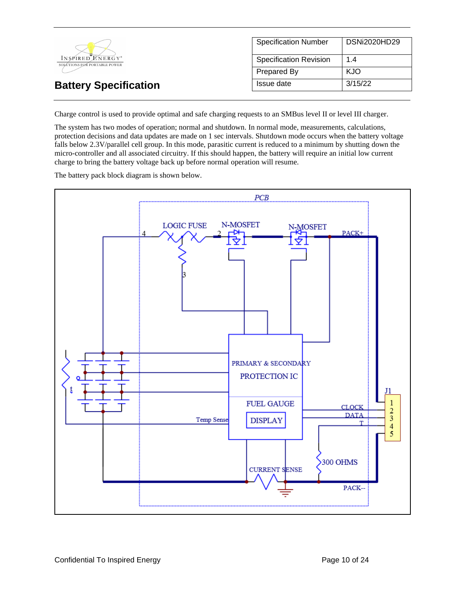

Charge control is used to provide optimal and safe charging requests to an SMBus level II or level III charger.

The system has two modes of operation; normal and shutdown. In normal mode, measurements, calculations, protection decisions and data updates are made on 1 sec intervals. Shutdown mode occurs when the battery voltage falls below 2.3V/parallel cell group. In this mode, parasitic current is reduced to a minimum by shutting down the micro-controller and all associated circuitry. If this should happen, the battery will require an initial low current charge to bring the battery voltage back up before normal operation will resume.

The battery pack block diagram is shown below.

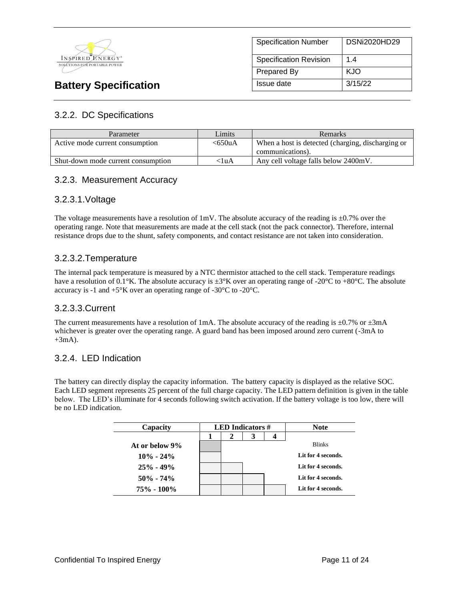

# Specification Number | DSNi2020HD29 Specification Revision | 1.4 Prepared By KJO **Battery Specification Issue date** 3/15/22

# 3.2.2. DC Specifications

| Parameter                          | Limits    | <b>Remarks</b>                                    |
|------------------------------------|-----------|---------------------------------------------------|
| Active mode current consumption    | $<$ 650uA | When a host is detected (charging, discharging or |
|                                    |           | communications).                                  |
| Shut-down mode current consumption | <1uA      | Any cell voltage falls below 2400mV.              |

## 3.2.3. Measurement Accuracy

#### 3.2.3.1.Voltage

The voltage measurements have a resolution of  $1 \text{mV}$ . The absolute accuracy of the reading is  $\pm 0.7\%$  over the operating range. Note that measurements are made at the cell stack (not the pack connector). Therefore, internal resistance drops due to the shunt, safety components, and contact resistance are not taken into consideration.

#### 3.2.3.2.Temperature

The internal pack temperature is measured by a NTC thermistor attached to the cell stack. Temperature readings have a resolution of 0.1°K. The absolute accuracy is  $\pm 3\degree K$  over an operating range of -20°C to +80°C. The absolute accuracy is -1 and +5°K over an operating range of -30°C to -20°C.

#### 3.2.3.3.Current

The current measurements have a resolution of 1mA. The absolute accuracy of the reading is  $\pm 0.7\%$  or  $\pm 3$ mA whichever is greater over the operating range. A guard band has been imposed around zero current (-3mA to  $+3mA$ ).

#### 3.2.4. LED Indication

The battery can directly display the capacity information. The battery capacity is displayed as the relative SOC. Each LED segment represents 25 percent of the full charge capacity. The LED pattern definition is given in the table below. The LED's illuminate for 4 seconds following switch activation. If the battery voltage is too low, there will be no LED indication.

| Capacity       | <b>LED</b> Indicators $#$ |   |   | <b>Note</b> |                    |
|----------------|---------------------------|---|---|-------------|--------------------|
|                |                           | 2 | 3 |             |                    |
| At or below 9% |                           |   |   |             | <b>Blinks</b>      |
| $10\% - 24\%$  |                           |   |   |             | Lit for 4 seconds. |
| $25\% - 49\%$  |                           |   |   |             | Lit for 4 seconds. |
| $50\% - 74\%$  |                           |   |   |             | Lit for 4 seconds. |
| 75% - 100%     |                           |   |   |             | Lit for 4 seconds. |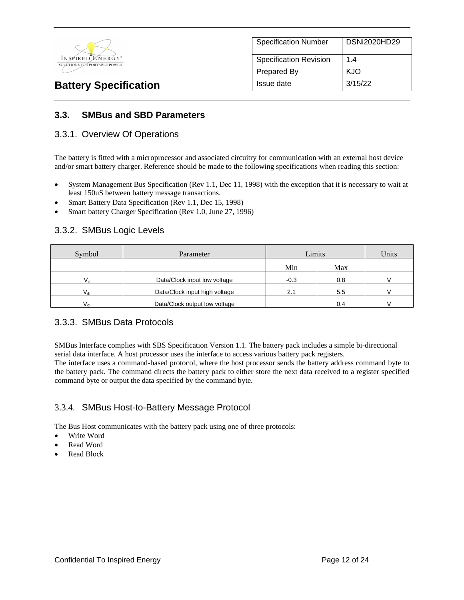

| <b>Specification Number</b>   | DSNi2020HD29 |
|-------------------------------|--------------|
| <b>Specification Revision</b> | 14           |
| Prepared By                   | KJO          |
| Issue date                    | 3/15/22      |

### **3.3. SMBus and SBD Parameters**

#### 3.3.1. Overview Of Operations

The battery is fitted with a microprocessor and associated circuitry for communication with an external host device and/or smart battery charger. Reference should be made to the following specifications when reading this section:

- System Management Bus Specification (Rev 1.1, Dec 11, 1998) with the exception that it is necessary to wait at least 150uS between battery message transactions.
- Smart Battery Data Specification (Rev 1.1, Dec 15, 1998)
- Smart battery Charger Specification (Rev 1.0, June 27, 1996)

#### 3.3.2. SMBus Logic Levels

| Symbol       | Parameter                     | Limits |     | Units |
|--------------|-------------------------------|--------|-----|-------|
|              |                               | Min    | Max |       |
| $V_{\rm ii}$ | Data/Clock input low voltage  | $-0.3$ | 0.8 |       |
| $V_{ih}$     | Data/Clock input high voltage | 2.1    | 5.5 |       |
| $V_{nl}$     | Data/Clock output low voltage |        | 0.4 |       |

#### 3.3.3. SMBus Data Protocols

SMBus Interface complies with SBS Specification Version 1.1. The battery pack includes a simple bi-directional serial data interface. A host processor uses the interface to access various battery pack registers.

The interface uses a command-based protocol, where the host processor sends the battery address command byte to the battery pack. The command directs the battery pack to either store the next data received to a register specified command byte or output the data specified by the command byte.

#### 3.3.4. SMBus Host-to-Battery Message Protocol

The Bus Host communicates with the battery pack using one of three protocols:

- Write Word
- Read Word
- Read Block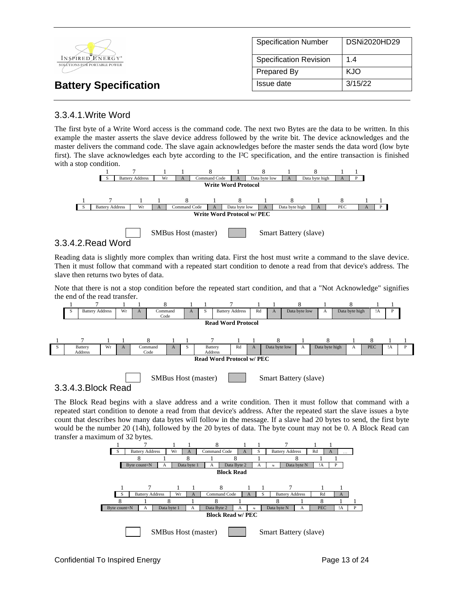|                                                  | <b>Specification Number</b>   | DSNi2020HD29 |
|--------------------------------------------------|-------------------------------|--------------|
| INSPIRED ENERGY*<br>SOLÚTIONS FOR PORTABLE POWER | <b>Specification Revision</b> | 1.4          |
|                                                  | Prepared By                   | <b>KJO</b>   |
| <b>Battery Specification</b>                     | Issue date                    | 3/15/22      |

### 3.3.4.1.Write Word

The first byte of a Write Word access is the command code. The next two Bytes are the data to be written. In this example the master asserts the slave device address followed by the write bit. The device acknowledges and the master delivers the command code. The slave again acknowledges before the master sends the data word (low byte first). The slave acknowledges each byte according to the I²C specification, and the entire transaction is finished with a stop condition.



#### 3.3.4.2.Read Word

Reading data is slightly more complex than writing data. First the host must write a command to the slave device. Then it must follow that command with a repeated start condition to denote a read from that device's address. The slave then returns two bytes of data.

Note that there is not a stop condition before the repeated start condition, and that a "Not Acknowledge" signifies the end of the read transfer.



3.3.4.3.Block Read

The Block Read begins with a slave address and a write condition. Then it must follow that command with a repeated start condition to denote a read from that device's address. After the repeated start the slave issues a byte count that describes how many data bytes will follow in the message. If a slave had 20 bytes to send, the first byte would be the number 20 (14h), followed by the 20 bytes of data. The byte count may not be 0. A Block Read can transfer a maximum of 32 bytes.

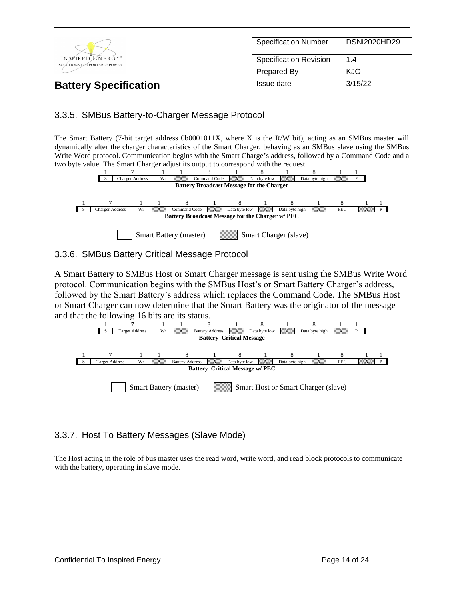

### 3.3.5. SMBus Battery-to-Charger Message Protocol

The Smart Battery (7-bit target address 0b0001011X, where X is the R/W bit), acting as an SMBus master will dynamically alter the charger characteristics of the Smart Charger, behaving as an SMBus slave using the SMBus Write Word protocol. Communication begins with the Smart Charge's address, followed by a Command Code and a two byte value. The Smart Charger adjust its output to correspond with the request.



#### 3.3.6. SMBus Battery Critical Message Protocol

A Smart Battery to SMBus Host or Smart Charger message is sent using the SMBus Write Word protocol. Communication begins with the SMBus Host's or Smart Battery Charger's address, followed by the Smart Battery's address which replaces the Command Code. The SMBus Host or Smart Charger can now determine that the Smart Battery was the originator of the message and that the following 16 bits are its status.



## 3.3.7. Host To Battery Messages (Slave Mode)

The Host acting in the role of bus master uses the read word, write word, and read block protocols to communicate with the battery, operating in slave mode.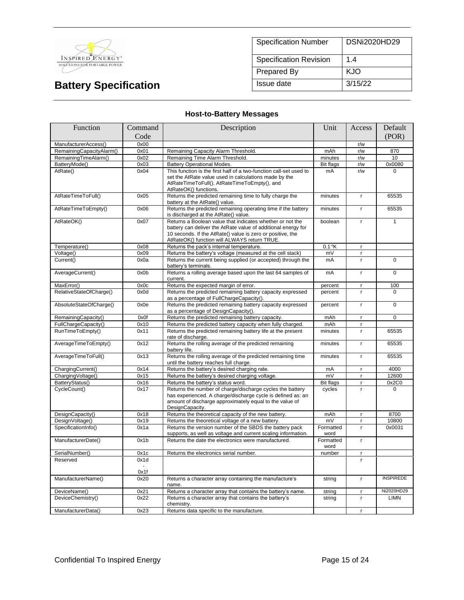

| <b>Specification Number</b>   | <b>DSNi2020HD29</b> |
|-------------------------------|---------------------|
| <b>Specification Revision</b> | 14                  |
| <b>Prepared By</b>            | KJO                 |
| Issue date                    | 3/15/22             |

### **Host-to-Battery Messages**

| Function                 | Command | Description                                                                                                                                                                                                                              | Unit              | Access       | Default          |
|--------------------------|---------|------------------------------------------------------------------------------------------------------------------------------------------------------------------------------------------------------------------------------------------|-------------------|--------------|------------------|
|                          | Code    |                                                                                                                                                                                                                                          |                   |              | (POR)            |
| ManufacturerAccess()     | 0x00    |                                                                                                                                                                                                                                          |                   | r/w          |                  |
| RemainingCapacityAlarm() | 0x01    | Remaining Capacity Alarm Threshold.                                                                                                                                                                                                      | mAh               | r/w          | 870              |
| RemainingTimeAlarm()     | 0x02    | Remaining Time Alarm Threshold.                                                                                                                                                                                                          | minutes           | r/w          | 10               |
| BatteryMode()            | 0x03    | <b>Battery Operational Modes.</b>                                                                                                                                                                                                        | <b>Bit flags</b>  | r/w          | 0x0080           |
| AtRate()                 | 0x04    | This function is the first half of a two-function call-set used to<br>set the AtRate value used in calculations made by the<br>AtRateTimeToFull(), AtRateTimeToEmpty(), and<br>AtRateOK() functions.                                     | mA                | r/w          | $\Omega$         |
| AtRateTimeToFull()       | 0x05    | Returns the predicted remaining time to fully charge the<br>battery at the AtRate() value.                                                                                                                                               | minutes           | $\mathbf{r}$ | 65535            |
| AtRateTimeToEmpty()      | 0x06    | Returns the predicted remaining operating time if the battery<br>is discharged at the AtRate() value.                                                                                                                                    | minutes           | r            | 65535            |
| AtRateOK()               | 0x07    | Returns a Boolean value that indicates whether or not the<br>battery can deliver the AtRate value of additional energy for<br>10 seconds. If the AtRate() value is zero or positive, the<br>AtRateOK() function will ALWAYS return TRUE. | boolean           | $\mathsf{r}$ | $\mathbf{1}$     |
| Temperature()            | 0x08    | Returns the pack's internal temperature.                                                                                                                                                                                                 | $0.1$ °K          | $\mathbf{r}$ |                  |
| Voltage()                | 0x09    | Returns the battery's voltage (measured at the cell stack)                                                                                                                                                                               | mV                | $\mathbf{r}$ |                  |
| Current()                | 0x0a    | Returns the current being supplied (or accepted) through the<br>battery's terminals.                                                                                                                                                     | mA                | $\mathsf{r}$ | 0                |
| AverageCurrent()         | 0x0b    | Returns a rolling average based upon the last 64 samples of<br>current.                                                                                                                                                                  | mA                | r            | $\overline{0}$   |
| MaxError()               | 0x0c    | Returns the expected margin of error.                                                                                                                                                                                                    | percent           | $\mathbf{r}$ | 100              |
| RelativeStateOfCharge()  | 0x0d    | Returns the predicted remaining battery capacity expressed<br>as a percentage of FullChargeCapacity().                                                                                                                                   | percent           | $\mathsf{r}$ | $\Omega$         |
| AbsoluteStateOfCharge()  | 0x0e    | Returns the predicted remaining battery capacity expressed<br>as a percentage of DesignCapacity().                                                                                                                                       | percent           | $\mathbf{r}$ | $\mathbf 0$      |
| RemainingCapacity()      | 0x0f    | Returns the predicted remaining battery capacity.                                                                                                                                                                                        | mAh               | $\mathbf{r}$ | $\Omega$         |
| FullChargeCapacity()     | 0x10    | Returns the predicted battery capacity when fully charged.                                                                                                                                                                               | mAh               | $\mathbf{r}$ |                  |
| RunTimeToEmpty()         | 0x11    | Returns the predicted remaining battery life at the present<br>rate of discharge.                                                                                                                                                        | minutes           | $\mathbf{r}$ | 65535            |
| AverageTimeToEmpty()     | 0x12    | Returns the rolling average of the predicted remaining<br>battery life.                                                                                                                                                                  | minutes           | $\mathbf{r}$ | 65535            |
| AverageTimeToFull()      | 0x13    | Returns the rolling average of the predicted remaining time<br>until the battery reaches full charge.                                                                                                                                    | minutes           | $\mathsf{r}$ | 65535            |
| ChargingCurrent()        | 0x14    | Returns the battery's desired charging rate.                                                                                                                                                                                             | mA                | $\mathbf{r}$ | 4000             |
| ChargingVoltage()        | 0x15    | Returns the battery's desired charging voltage.                                                                                                                                                                                          | mV                | r.           | 12600            |
| BatteryStatus()          | 0x16    | Returns the battery's status word.                                                                                                                                                                                                       | <b>Bit flags</b>  | $\mathbf{r}$ | 0x2C0            |
| CycleCount()             | 0x17    | Returns the number of charge/discharge cycles the battery<br>has experienced. A charge/discharge cycle is defined as: an<br>amount of discharge approximately equal to the value of<br>DesignCapacity.                                   | cycles            | r.           | $\Omega$         |
| DesignCapacity()         | 0x18    | Returns the theoretical capacity of the new battery.                                                                                                                                                                                     | mAh               | $\mathsf{r}$ | 8700             |
| DesignVoltage()          | 0x19    | Returns the theoretical voltage of a new battery.                                                                                                                                                                                        | mV                | $\mathsf{r}$ | 10800            |
| SpecificationInfo()      | 0x1a    | Returns the version number of the SBDS the battery pack<br>supports, as well as voltage and current scaling information.                                                                                                                 | Formatted<br>word | $\mathbf{r}$ | 0x0031           |
| ManufacturerDate()       | 0x1b    | Returns the date the electronics were manufactured.                                                                                                                                                                                      | Formatted<br>word | $\mathbf{r}$ |                  |
| SerialNumber()           | 0x1c    | Returns the electronics serial number.                                                                                                                                                                                                   | number            | r            |                  |
| Reserved                 | 0x1d    |                                                                                                                                                                                                                                          |                   | r.           |                  |
|                          | 0x1f    |                                                                                                                                                                                                                                          |                   |              |                  |
| ManufacturerName()       | 0x20    | Returns a character array containing the manufacture's<br>name.                                                                                                                                                                          | string            | $\mathsf{r}$ | <b>INSPIREDE</b> |
| DeviceName()             | 0x21    | Returns a character array that contains the battery's name.                                                                                                                                                                              | string            | $\mathbf{r}$ | Ni2020HD29       |
| DeviceChemistry()        | 0x22    | Returns a character array that contains the battery's<br>chemistry.                                                                                                                                                                      | string            | $\mathbf{r}$ | <b>LIMN</b>      |
| ManufacturerData()       | 0x23    | Returns data specific to the manufacture.                                                                                                                                                                                                |                   | r            |                  |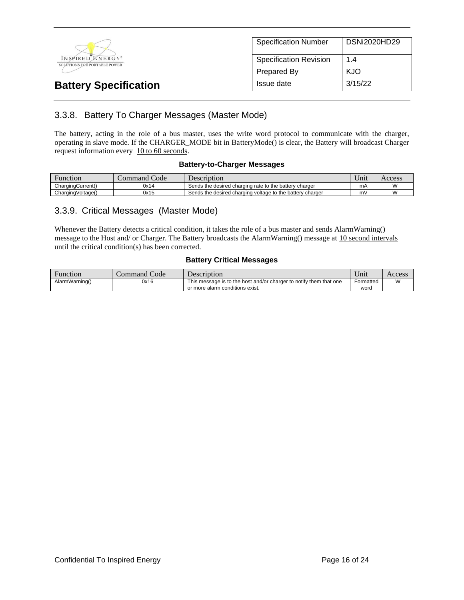

|            | <b>Specification Number</b>   | DSNi2020HD29 |
|------------|-------------------------------|--------------|
|            | <b>Specification Revision</b> | 14           |
|            | <b>Prepared By</b>            | KJO          |
| Issue date |                               | 3/15/22      |

## 3.3.8. Battery To Charger Messages (Master Mode)

The battery, acting in the role of a bus master, uses the write word protocol to communicate with the charger, operating in slave mode. If the CHARGER\_MODE bit in BatteryMode() is clear, the Battery will broadcast Charger request information every 10 to 60 seconds.

#### **Battery-to-Charger Messages**

| Function          | $\sim$<br>Code<br>command ' | Description                                               | $\mathbf{v}$<br>Jnıt | Access |
|-------------------|-----------------------------|-----------------------------------------------------------|----------------------|--------|
| ChargingCurrent() | 0x14                        | Sends the desired charging rate to the battery charger    | mA                   |        |
| ChargingVoltage() | 0x15                        | Sends the desired charging voltage to the battery charger | m١                   |        |

#### 3.3.9. Critical Messages (Master Mode)

Whenever the Battery detects a critical condition, it takes the role of a bus master and sends AlarmWarning() message to the Host and/ or Charger. The Battery broadcasts the AlarmWarning() message at 10 second intervals until the critical condition(s) has been corrected.

#### **Battery Critical Messages**

| Function       | Command Code | $D$ escription                                                                                        | ∪nıt              | Access         |
|----------------|--------------|-------------------------------------------------------------------------------------------------------|-------------------|----------------|
| AlarmWarning() | 0x16         | This message is to the host and/or charger to notify them that one<br>or more alarm conditions exist. | Formatted<br>word | $\overline{M}$ |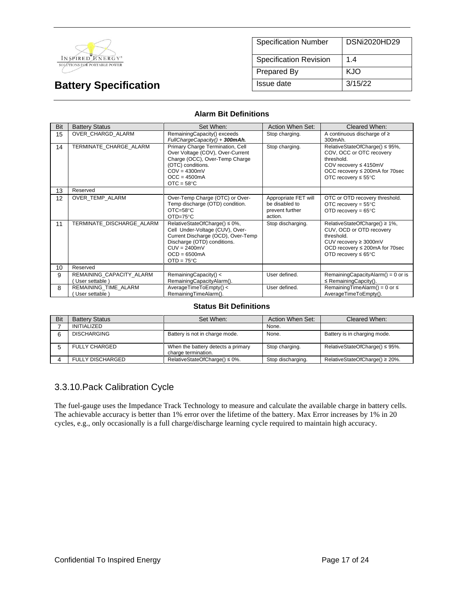

| <b>Specification Number</b>   | DSNi2020HD29 |
|-------------------------------|--------------|
| <b>Specification Revision</b> | 1.4          |
| Prepared By                   | KJO          |
| Issue date                    | 3/15/22      |

#### **Alarm Bit Definitions**

| Bit | <b>Battery Status</b>                      | Set When:                                                                                                                                                                                        | Action When Set:                                                     | Cleared When:                                                                                                                                                                 |
|-----|--------------------------------------------|--------------------------------------------------------------------------------------------------------------------------------------------------------------------------------------------------|----------------------------------------------------------------------|-------------------------------------------------------------------------------------------------------------------------------------------------------------------------------|
| 15  | OVER CHARGD ALARM                          | RemainingCapacity() exceeds<br>FullChargeCapacity() + 300mAh.                                                                                                                                    | Stop charging.                                                       | A continuous discharge of $\geq$<br>300mAh.                                                                                                                                   |
| 14  | TERMINATE CHARGE ALARM                     | Primary Charge Termination, Cell<br>Over Voltage (COV), Over-Current<br>Charge (OCC), Over-Temp Charge<br>(OTC) conditions.<br>$COV = 4300mV$<br>$OCC = 4500mA$<br>$OTC = 58°C$                  | Stop charging.                                                       | RelativeStateOfCharge() ≤ 95%,<br>COV, OCC or OTC recovery<br>threshold.<br>COV recovery $\leq 4150$ mV<br>OCC recovery ≤ 200mA for 70sec<br>OTC recovery $\leq 55^{\circ}$ C |
| 13  | Reserved                                   |                                                                                                                                                                                                  |                                                                      |                                                                                                                                                                               |
| 12  | OVER TEMP ALARM                            | Over-Temp Charge (OTC) or Over-<br>Temp discharge (OTD) condition.<br>$OTC = 58°C$<br>$OTD=75^{\circ}C$                                                                                          | Appropriate FET will<br>be disabled to<br>prevent further<br>action. | OTC or OTD recovery threshold.<br>OTC recovery = $55^{\circ}$ C<br>OTD recovery = $65^{\circ}$ C                                                                              |
| 11  | TERMINATE DISCHARGE ALARM                  | RelativeStateOfCharge() ≤ 0%,<br>Cell Under-Voltage (CUV), Over-<br>Current Discharge (OCD), Over-Temp<br>Discharge (OTD) conditions.<br>$CUV = 2400mV$<br>$OCD = 6500mA$<br>$OTD = 75^{\circ}C$ | Stop discharging.                                                    | RelativeStateOfCharge() ≥ 1%,<br>CUV, OCD or OTD recovery<br>threshold.<br>CUV recovery $\geq$ 3000mV<br>OCD recovery ≤ 200mA for 70sec<br>OTD recovery $\leq 65^{\circ}$ C   |
| 10  | Reserved                                   |                                                                                                                                                                                                  |                                                                      |                                                                                                                                                                               |
| 9   | REMAINING CAPACITY ALARM<br>User settable) | RemainingCapacity() <<br>RemainingCapacityAlarm().                                                                                                                                               | User defined.                                                        | RemainingCapacityAlarm() = $0$ or is<br>$\leq$ Remaining Capcity().                                                                                                           |
| 8   | REMAINING TIME ALARM<br>User settable )    | AverageTimeToEmpty() <<br>RemainingTimeAlarm().                                                                                                                                                  | User defined.                                                        | RemainingTimeAlarm() = $0$ or $\leq$<br>AverageTimeToEmpty().                                                                                                                 |

#### **Status Bit Definitions**

| Bit | <b>Battery Status</b>   | Set When:                                                 | Action When Set:  | Cleared When:                       |
|-----|-------------------------|-----------------------------------------------------------|-------------------|-------------------------------------|
|     | <b>INITIALIZED</b>      |                                                           | None.             |                                     |
|     | <b>DISCHARGING</b>      | Battery is not in charge mode.                            | None.             | Battery is in charging mode.        |
|     | <b>FULLY CHARGED</b>    | When the battery detects a primary<br>charge termination. | Stop charging.    | RelativeStateOfCharge() $\leq$ 95%. |
|     | <b>FULLY DISCHARGED</b> | RelativeStateOfCharge() $\leq 0\%$ .                      | Stop discharging. | RelativeStateOfCharge() $\geq$ 20%. |

### 3.3.10.Pack Calibration Cycle

The fuel-gauge uses the Impedance Track Technology to measure and calculate the available charge in battery cells. The achievable accuracy is better than 1% error over the lifetime of the battery. Max Error increases by 1% in 20 cycles, e.g., only occasionally is a full charge/discharge learning cycle required to maintain high accuracy.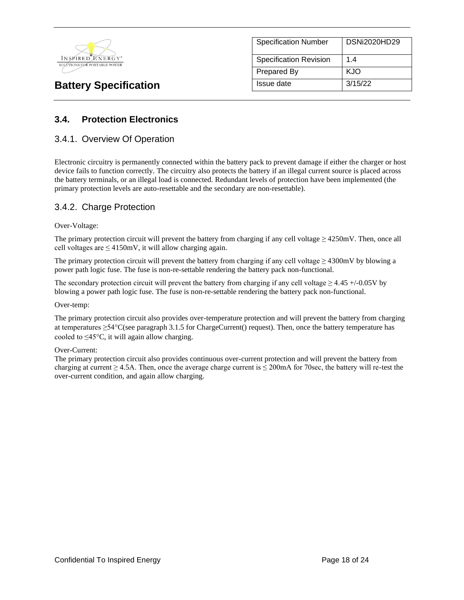

| <b>Specification Number</b>   | <b>DSNi2020HD29</b> |
|-------------------------------|---------------------|
| <b>Specification Revision</b> | 1.4                 |
| Prepared By                   | KJO                 |
| Issue date                    | 3/15/22             |

## **3.4. Protection Electronics**

#### 3.4.1. Overview Of Operation

Electronic circuitry is permanently connected within the battery pack to prevent damage if either the charger or host device fails to function correctly. The circuitry also protects the battery if an illegal current source is placed across the battery terminals, or an illegal load is connected. Redundant levels of protection have been implemented (the primary protection levels are auto-resettable and the secondary are non-resettable).

#### 3.4.2. Charge Protection

#### Over-Voltage:

The primary protection circuit will prevent the battery from charging if any cell voltage  $\geq$  4250mV. Then, once all cell voltages are  $\leq 4150$ mV, it will allow charging again.

The primary protection circuit will prevent the battery from charging if any cell voltage  $\geq$  4300mV by blowing a power path logic fuse. The fuse is non-re-settable rendering the battery pack non-functional.

The secondary protection circuit will prevent the battery from charging if any cell voltage  $\geq 4.45 + (-0.05V)$  by blowing a power path logic fuse. The fuse is non-re-settable rendering the battery pack non-functional.

#### Over-temp:

The primary protection circuit also provides over-temperature protection and will prevent the battery from charging at temperatures  $\geq 54^{\circ}$ C(see paragraph 3.1.5 for ChargeCurrent() request). Then, once the battery temperature has cooled to  $\leq$ 45°C, it will again allow charging.

#### Over-Current:

The primary protection circuit also provides continuous over-current protection and will prevent the battery from charging at current  $\geq 4.5$ A. Then, once the average charge current is  $\leq 200$ mA for 70sec, the battery will re-test the over-current condition, and again allow charging.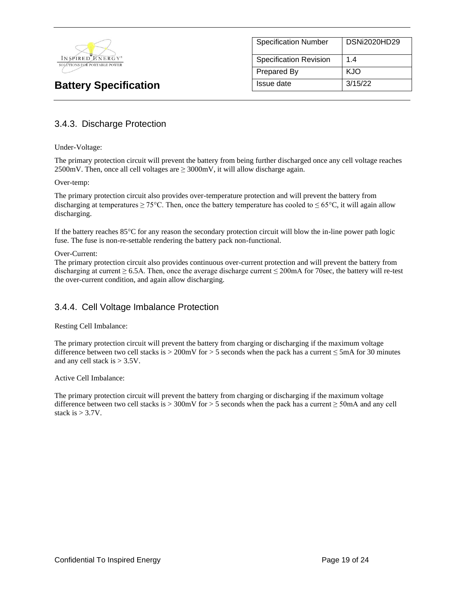

| <b>Specification Number</b>   | <b>DSNi2020HD29</b> |
|-------------------------------|---------------------|
| <b>Specification Revision</b> | 14                  |
| <b>Prepared By</b>            | KJO                 |
| Issue date                    | 3/15/22             |

### 3.4.3. Discharge Protection

Under-Voltage:

The primary protection circuit will prevent the battery from being further discharged once any cell voltage reaches 2500mV. Then, once all cell voltages are  $\geq$  3000mV, it will allow discharge again.

#### Over-temp:

The primary protection circuit also provides over-temperature protection and will prevent the battery from discharging at temperatures  $\geq 75^{\circ}$ C. Then, once the battery temperature has cooled to  $\leq 65^{\circ}$ C, it will again allow discharging.

If the battery reaches 85°C for any reason the secondary protection circuit will blow the in-line power path logic fuse. The fuse is non-re-settable rendering the battery pack non-functional.

#### Over-Current:

The primary protection circuit also provides continuous over-current protection and will prevent the battery from discharging at current  $\geq 6.5$ A. Then, once the average discharge current  $\leq 200$ mA for 70sec, the battery will re-test the over-current condition, and again allow discharging.

#### 3.4.4. Cell Voltage Imbalance Protection

Resting Cell Imbalance:

The primary protection circuit will prevent the battery from charging or discharging if the maximum voltage difference between two cell stacks is  $> 200$ mV for  $> 5$  seconds when the pack has a current  $\leq$  5mA for 30 minutes and any cell stack is  $> 3.5V$ .

Active Cell Imbalance:

The primary protection circuit will prevent the battery from charging or discharging if the maximum voltage difference between two cell stacks is > 300mV for > 5 seconds when the pack has a current  $\geq$  50mA and any cell stack is  $> 3.7V$ .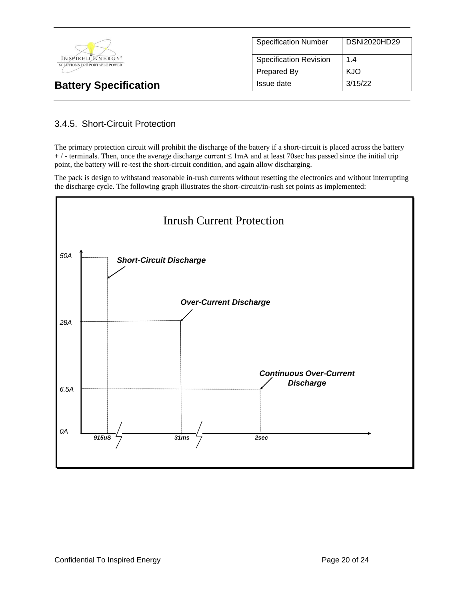

| <b>Specification Number</b>   | <b>DSNi2020HD29</b> |
|-------------------------------|---------------------|
| <b>Specification Revision</b> | 14                  |
| Prepared By                   | KJO                 |
| Issue date                    | 3/15/22             |

# 3.4.5. Short-Circuit Protection

The primary protection circuit will prohibit the discharge of the battery if a short-circuit is placed across the battery  $+$  / - terminals. Then, once the average discharge current  $\leq$  1mA and at least 70sec has passed since the initial trip point, the battery will re-test the short-circuit condition, and again allow discharging.

The pack is design to withstand reasonable in-rush currents without resetting the electronics and without interrupting the discharge cycle. The following graph illustrates the short-circuit/in-rush set points as implemented:

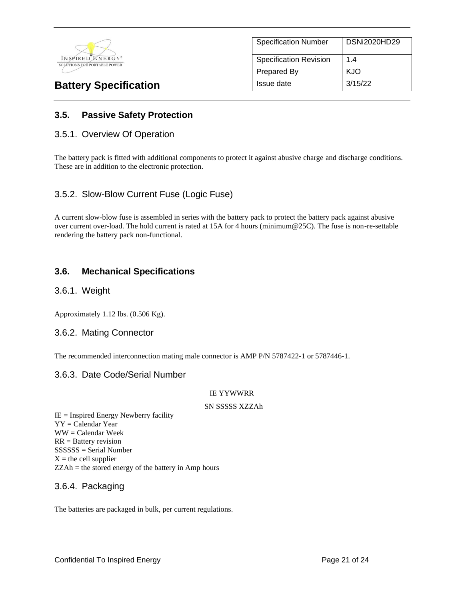

| <b>Specification Number</b>   | <b>DSNi2020HD29</b> |
|-------------------------------|---------------------|
| <b>Specification Revision</b> | 14                  |
| Prepared By                   | KJO                 |
| Issue date                    | 3/15/22             |

### **3.5. Passive Safety Protection**

#### 3.5.1. Overview Of Operation

The battery pack is fitted with additional components to protect it against abusive charge and discharge conditions. These are in addition to the electronic protection.

#### 3.5.2. Slow-Blow Current Fuse (Logic Fuse)

A current slow-blow fuse is assembled in series with the battery pack to protect the battery pack against abusive over current over-load. The hold current is rated at 15A for 4 hours (minimum@25C). The fuse is non-re-settable rendering the battery pack non-functional.

#### **3.6. Mechanical Specifications**

#### 3.6.1. Weight

Approximately 1.12 lbs. (0.506 Kg).

#### 3.6.2. Mating Connector

The recommended interconnection mating male connector is AMP P/N 5787422-1 or 5787446-1.

#### 3.6.3. Date Code/Serial Number

#### IE YYWWRR

#### SN SSSSS XZZAh

 $IE =$  Inspired Energy Newberry facility YY = Calendar Year WW = Calendar Week RR = Battery revision SSSSSS = Serial Number  $X =$  the cell supplier  $ZZAh =$  the stored energy of the battery in Amp hours

#### 3.6.4. Packaging

The batteries are packaged in bulk, per current regulations.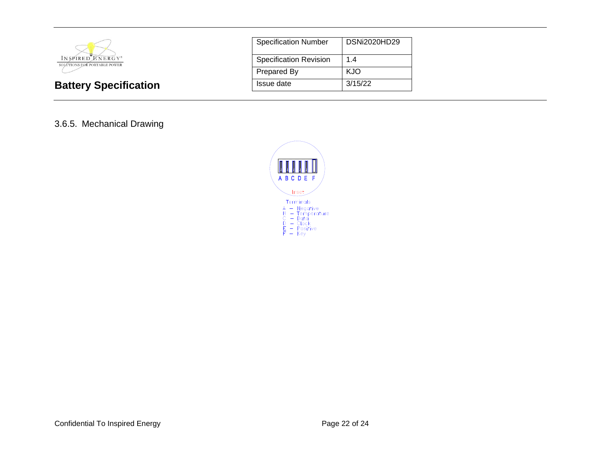

| <b>Specification Number</b>   | DSNi2020HD29 |
|-------------------------------|--------------|
| <b>Specification Revision</b> | 1.4          |
| <b>Prepared By</b>            | KJO          |
| Issue date                    | 3/15/22      |

### 3.6.5. Mechanical Drawing

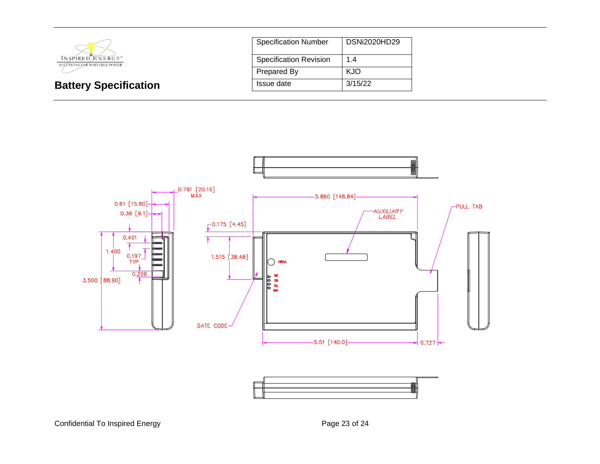

| <b>Specification Number</b>   | <b>DSNi2020HD29</b> |
|-------------------------------|---------------------|
| <b>Specification Revision</b> | 1.4                 |
| Prepared By                   | KJO                 |
| Issue date                    | 3/15/22             |